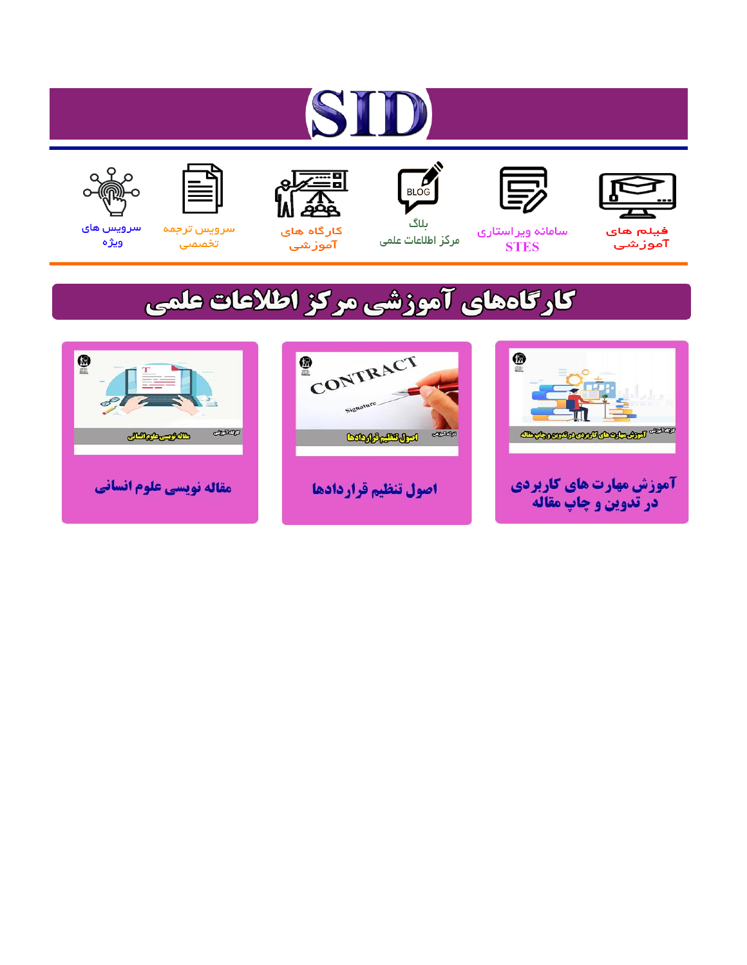# ST











مرکز اطلاعات علمی

 $\frac{1}{\sqrt{\frac{1}{100}}}$ ىلاگ



آموزشي

空

سرويس ترجمه تخصصى



سرویس های ويژه

## كارگاههای آموزشی مركز اطلاعات علمی





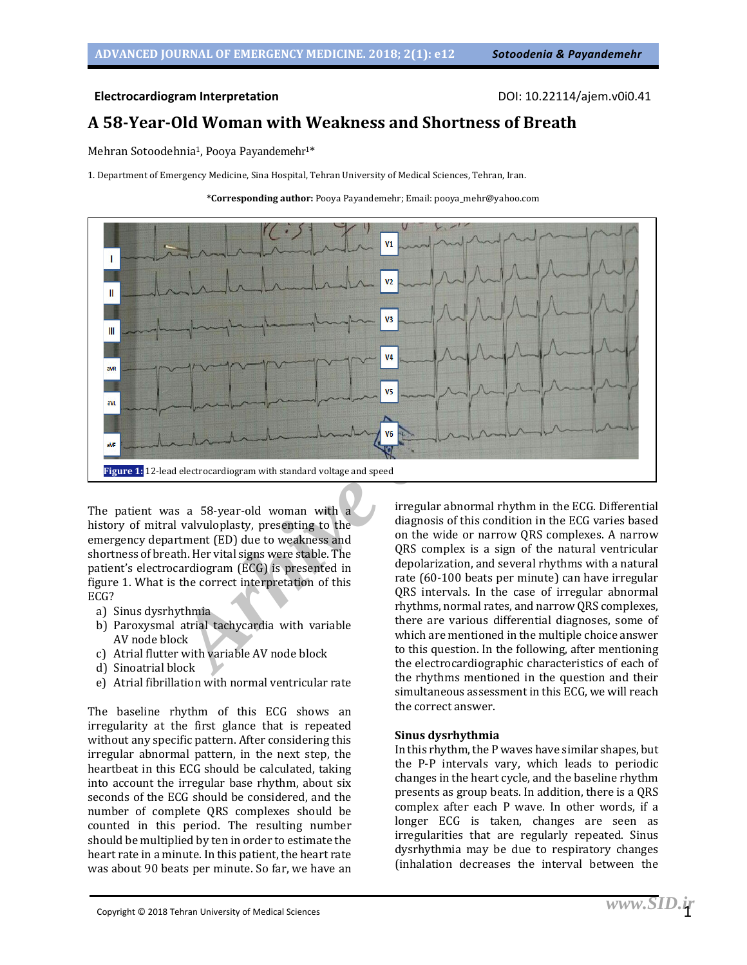#### **Electrocardiogram Interpretation** DOI: 10.22114/ajem.v0i0.41

### **A 58-Year-Old Woman with Weakness and Shortness of Breath**

Mehran Sotoodehnia<sup>1</sup>, Pooya Payandemehr<sup>1\*</sup>

1. Department of Emergency Medicine, Sina Hospital, Tehran University of Medical Sciences, Tehran, Iran.





The patient was a 58-year-old woman with a history of mitral valvuloplasty, presenting to the emergency department (ED) due to weakness and shortness of breath. Her vital signs were stable. The patient's electrocardiogram (ECG) is presented in figure 1. What is the correct interpretation of this ECG?

- a) Sinus dysrhythmia
- b) Paroxysmal atrial tachycardia with variable AV node block
- c) Atrial flutter with variable AV node block
- d) Sinoatrial block
- e) Atrial fibrillation with normal ventricular rate

The baseline rhythm of this ECG shows an irregularity at the first glance that is repeated without any specific pattern. After considering this irregular abnormal pattern, in the next step, the heartbeat in this ECG should be calculated, taking into account the irregular base rhythm, about six seconds of the ECG should be considered, and the number of complete QRS complexes should be counted in this period. The resulting number should be multiplied by ten in order to estimate the heart rate in a minute. In this patient, the heart rate was about 90 beats per minute. So far, we have an

irregular abnormal rhythm in the ECG. Differential diagnosis of this condition in the ECG varies based on the wide or narrow QRS complexes. A narrow QRS complex is a sign of the natural ventricular depolarization, and several rhythms with a natural rate (60-100 beats per minute) can have irregular QRS intervals. In the case of irregular abnormal rhythms, normal rates, and narrow QRS complexes, there are various differential diagnoses, some of which are mentioned in the multiple choice answer to this question. In the following, after mentioning the electrocardiographic characteristics of each of the rhythms mentioned in the question and their simultaneous assessment in this ECG, we will reach the correct answer.

#### **Sinus dysrhythmia**

In this rhythm, the P waves have similar shapes, but the P-P intervals vary, which leads to periodic changes in the heart cycle, and the baseline rhythm presents as group beats. In addition, there is a QRS complex after each P wave. In other words, if a longer ECG is taken, changes are seen as irregularities that are regularly repeated. Sinus dysrhythmia may be due to respiratory changes (inhalation decreases the interval between the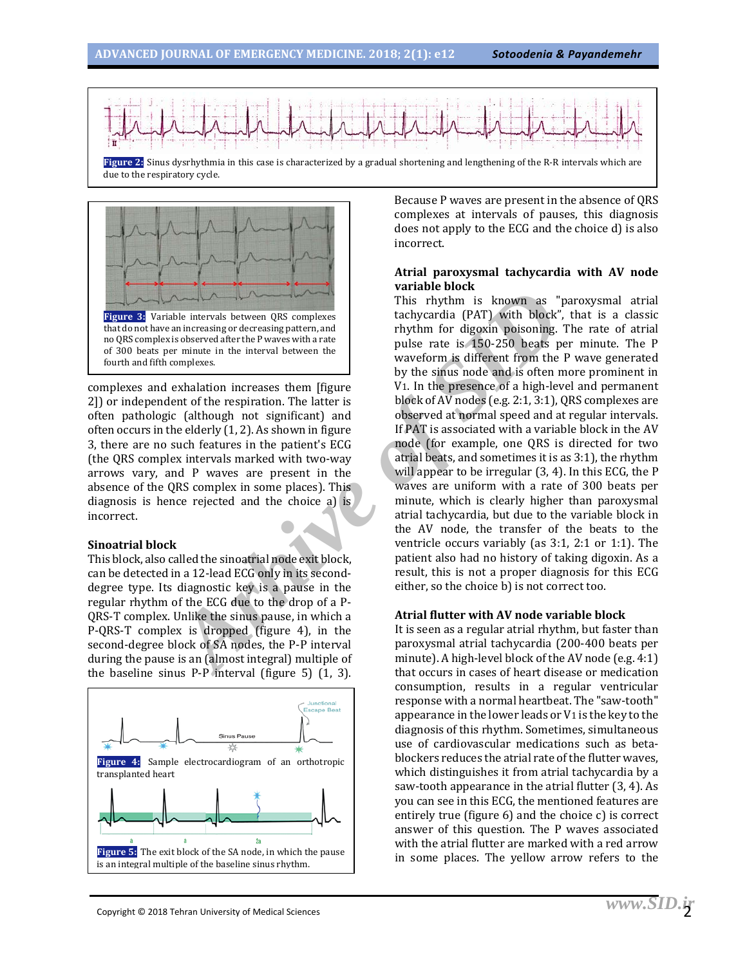



complexes and exhalation increases them [figure 2]) or independent of the respiration. The latter is often pathologic (although not significant) and often occurs in the elderly (1, 2). As shown in figure 3, there are no such features in the patient's ECG (the QRS complex intervals marked with two-way arrows vary, and P waves are present in the absence of the QRS complex in some places). This diagnosis is hence rejected and the choice a) is incorrect.

#### **Sinoatrial block**

This block, also called the sinoatrial node exit block, can be detected in a 12-lead ECG only in its seconddegree type. Its diagnostic key is a pause in the regular rhythm of the ECG due to the drop of a P-QRS-T complex. Unlike the sinus pause, in which a P-QRS-T complex is dropped (figure 4), in the second-degree block of SA nodes, the P-P interval during the pause is an (almost integral) multiple of the baseline sinus P-P interval (figure 5) (1, 3).



Because P waves are present in the absence of QRS complexes at intervals of pauses, this diagnosis does not apply to the ECG and the choice d) is also incorrect.

#### **Atrial paroxysmal tachycardia with AV node variable block**

Finis rhythm is known as "<br>
and intervals between QRS complexes<br>
is observed after the P waves with a rate<br>
in the interval between the<br>
interval between the three discussions parternal that the pulse rate is 150-250 beats This rhythm is known as "paroxysmal atrial tachycardia (PAT) with block", that is a classic rhythm for digoxin poisoning. The rate of atrial pulse rate is 150-250 beats per minute. The P waveform is different from the P wave generated by the sinus node and is often more prominent in V1. In the presence of a high-level and permanent block of AV nodes (e.g. 2:1, 3:1), QRS complexes are observed at normal speed and at regular intervals. If PAT is associated with a variable block in the AV node (for example, one QRS is directed for two atrial beats, and sometimes it is as 3:1), the rhythm will appear to be irregular (3, 4). In this ECG, the P waves are uniform with a rate of 300 beats per minute, which is clearly higher than paroxysmal atrial tachycardia, but due to the variable block in the AV node, the transfer of the beats to the ventricle occurs variably (as 3:1, 2:1 or 1:1). The patient also had no history of taking digoxin. As a result, this is not a proper diagnosis for this ECG either, so the choice b) is not correct too.

#### **Atrial flutter with AV node variable block**

It is seen as a regular atrial rhythm, but faster than paroxysmal atrial tachycardia (200-400 beats per minute). A high-level block of the AV node (e.g. 4:1) that occurs in cases of heart disease or medication consumption, results in a regular ventricular response with a normal heartbeat. The "saw-tooth" appearance in the lower leads or V1 is the key to the diagnosis of this rhythm. Sometimes, simultaneous use of cardiovascular medications such as betablockers reduces the atrial rate of the flutter waves, which distinguishes it from atrial tachycardia by a saw-tooth appearance in the atrial flutter (3, 4). As you can see in this ECG, the mentioned features are entirely true (figure 6) and the choice c) is correct answer of this question. The P waves associated with the atrial flutter are marked with a red arrow in some places. The yellow arrow refers to the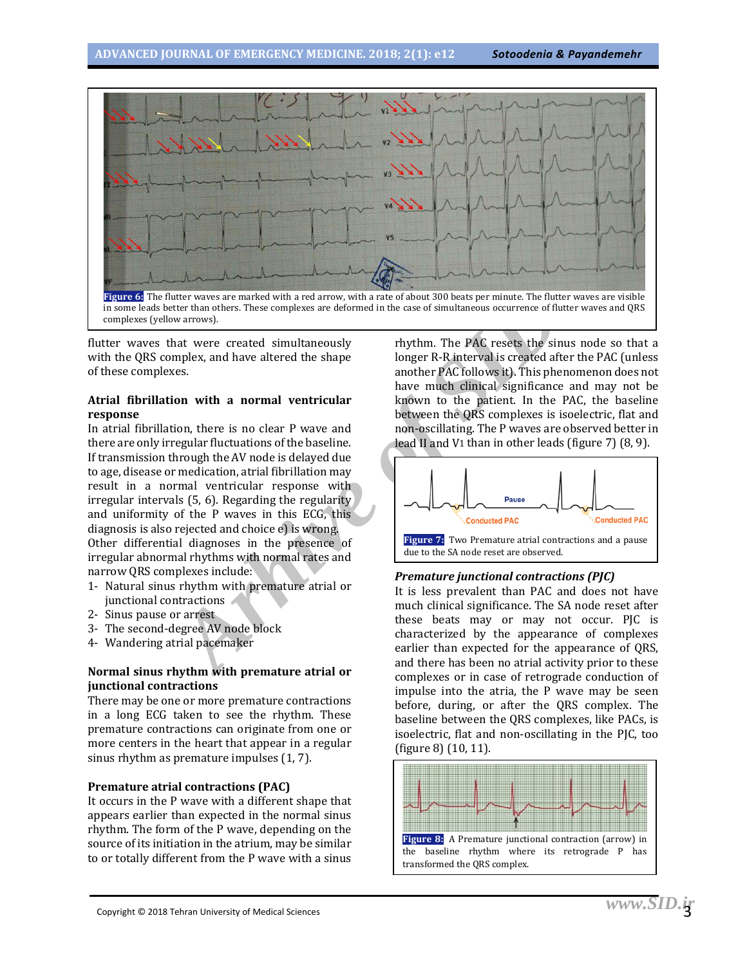

flutter waves that were created simultaneously with the QRS complex, and have altered the shape of these complexes.

#### **Atrial fibrillation with a normal ventricular response**

nuter waves are marked with a red arrow, with a rate of about 300 beats per minute. The flutter than others. These complexes are deformed in the case of simultaneous occurrence of fluores in the case of simultaneous occurr In atrial fibrillation, there is no clear P wave and there are only irregular fluctuations of the baseline. If transmission through the AV node is delayed due to age, disease or medication, atrial fibrillation may result in a normal ventricular response with irregular intervals (5, 6). Regarding the regularity and uniformity of the P waves in this ECG, this diagnosis is also rejected and choice e) is wrong. Other differential diagnoses in the presence of irregular abnormal rhythms with normal rates and narrow QRS complexes include:

- 1- Natural sinus rhythm with premature atrial or junctional contractions
- 2- Sinus pause or arrest
- 3- The second-degree AV node block
- 4- Wandering atrial pacemaker

#### **Normal sinus rhythm with premature atrial or junctional contractions**

There may be one or more premature contractions in a long ECG taken to see the rhythm. These premature contractions can originate from one or more centers in the heart that appear in a regular sinus rhythm as premature impulses (1, 7).

#### **Premature atrial contractions (PAC)**

It occurs in the P wave with a different shape that appears earlier than expected in the normal sinus rhythm. The form of the P wave, depending on the source of its initiation in the atrium, may be similar to or totally different from the P wave with a sinus

rhythm. The PAC resets the sinus node so that a longer R-R interval is created after the PAC (unless another PAC follows it). This phenomenon does not have much clinical significance and may not be known to the patient. In the PAC, the baseline between the QRS complexes is isoelectric, flat and non-oscillating. The P waves are observed better in lead II and V1 than in other leads (figure 7) (8, 9).



#### *Premature junctional contractions (PJC)*

It is less prevalent than PAC and does not have much clinical significance. The SA node reset after these beats may or may not occur. PJC is characterized by the appearance of complexes earlier than expected for the appearance of QRS, and there has been no atrial activity prior to these complexes or in case of retrograde conduction of impulse into the atria, the P wave may be seen before, during, or after the QRS complex. The baseline between the QRS complexes, like PACs, is isoelectric, flat and non-oscillating in the PJC, too (figure 8) (10, 11).

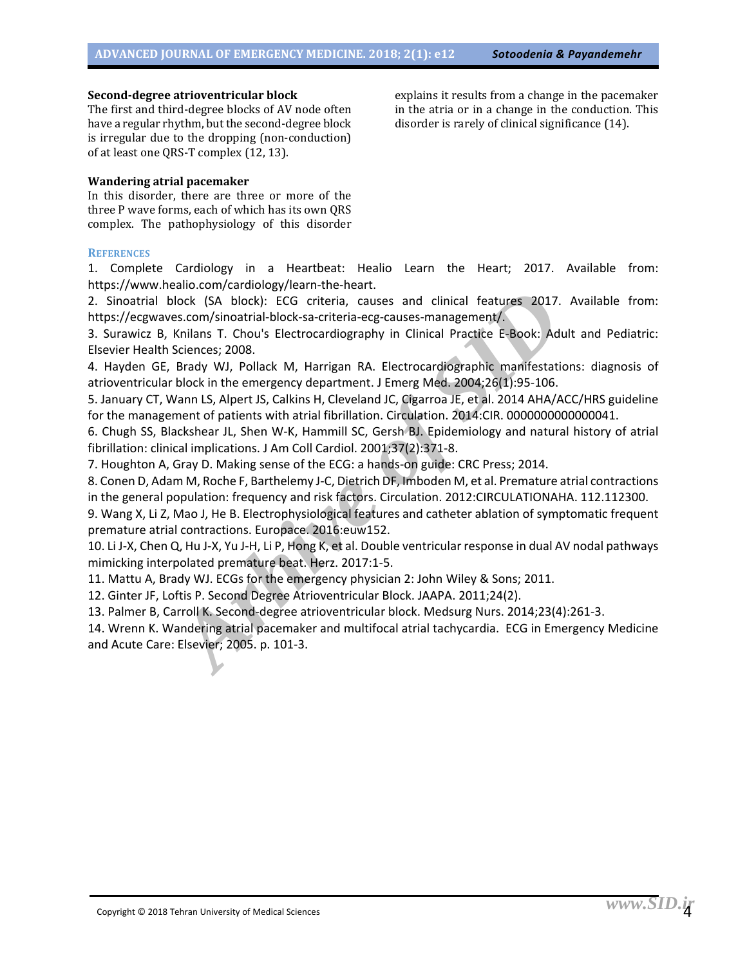#### **Second-degree atrioventricular block**

The first and third-degree blocks of AV node often have a regular rhythm, but the second-degree block is irregular due to the dropping (non-conduction) of at least one QRS-T complex (12, 13).

#### **Wandering atrial pacemaker**

In this disorder, there are three or more of the three P wave forms, each of which has its own QRS complex. The pathophysiology of this disorder

#### **REFERENCES**

1. Complete Cardiology in a Heartbeat: Healio Learn the Heart; 2017. Available from: https://www.healio.com/cardiology/learn-the-heart.

2. Sinoatrial block (SA block): ECG criteria, causes and clinical features 2017. Available from: https://ecgwaves.com/sinoatrial-block-sa-criteria-ecg-causes-management/.

3. Surawicz B, Knilans T. Chou's Electrocardiography in Clinical Practice E-Book: Adult and Pediatric: Elsevier Health Sciences; 2008.

4. Hayden GE, Brady WJ, Pollack M, Harrigan RA. Electrocardiographic manifestations: diagnosis of atrioventricular block in the emergency department. J Emerg Med. 2004;26(1):95-106.

5. January CT, Wann LS, Alpert JS, Calkins H, Cleveland JC, Cigarroa JE, et al. 2014 AHA/ACC/HRS guideline for the management of patients with atrial fibrillation. Circulation. 2014:CIR. 0000000000000041.

6. Chugh SS, Blackshear JL, Shen W-K, Hammill SC, Gersh BJ. Epidemiology and natural history of atrial fibrillation: clinical implications. J Am Coll Cardiol. 2001;37(2):371-8.

7. Houghton A, Gray D. Making sense of the ECG: a hands-on guide: CRC Press; 2014.

Example and controlling and clinical features 2017.<br> **Arkive Since State Science Are and clinical features 2017.**<br> **Archive SID** and clinical Plock-sa-criteria-ecg-causes-management/.<br>
Knilans T. Chou's Electrocardiography 8. Conen D, Adam M, Roche F, Barthelemy J-C, Dietrich DF, Imboden M, et al. Premature atrial contractions in the general population: frequency and risk factors. Circulation. 2012:CIRCULATIONAHA. 112.112300.

9. Wang X, Li Z, Mao J, He B. Electrophysiological features and catheter ablation of symptomatic frequent premature atrial contractions. Europace. 2016:euw152.

10. Li J-X, Chen Q, Hu J-X, Yu J-H, Li P, Hong K, et al. Double ventricular response in dual AV nodal pathways mimicking interpolated premature beat. Herz. 2017:1-5.

11. Mattu A, Brady WJ. ECGs for the emergency physician 2: John Wiley & Sons; 2011.

12. Ginter JF, Loftis P. Second Degree Atrioventricular Block. JAAPA. 2011;24(2).

13. Palmer B, Carroll K. Second-degree atrioventricular block. Medsurg Nurs. 2014;23(4):261-3.

14. Wrenn K. Wandering atrial pacemaker and multifocal atrial tachycardia. ECG in Emergency Medicine and Acute Care: Elsevier; 2005. p. 101-3.

explains it results from a change in the pacemaker in the atria or in a change in the conduction. This disorder is rarely of clinical significance (14).